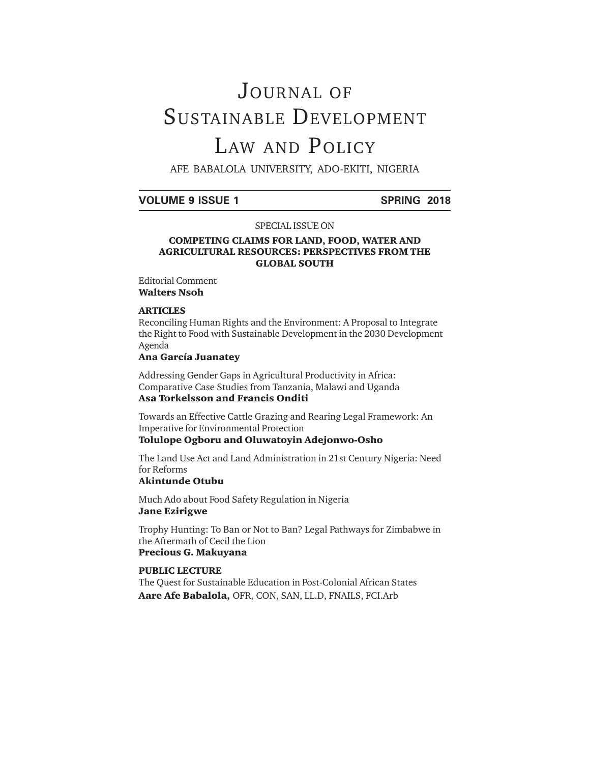# JOURNAL OF SUSTAINABLE DEVELOPMENT LAW AND POLICY

AFE BABALOLA UNIVERSITY, ADO-EKITI, NIGERIA

#### **VOLUME 9 ISSUE 1 SPRING 2018**

#### SPECIAL ISSUE ON

#### **COMPETING CLAIMS FOR LAND, FOOD, WATER AND AGRICULTURAL RESOURCES: PERSPECTIVES FROM THE GLOBAL SOUTH**

Editorial Comment **Walters Nsoh**

#### **ARTICLES**

Reconciling Human Rights and the Environment: A Proposal to Integrate the Right to Food with Sustainable Development in the 2030 Development Agenda

#### **Ana García Juanatey**

Addressing Gender Gaps in Agricultural Productivity in Africa: Comparative Case Studies from Tanzania, Malawi and Uganda **Asa Torkelsson and Francis Onditi**

Towards an Effective Cattle Grazing and Rearing Legal Framework: An Imperative for Environmental Protection

### **Tolulope Ogboru and Oluwatoyin Adejonwo-Osho**

The Land Use Act and Land Administration in 21st Century Nigeria: Need for Reforms

#### **Akintunde Otubu**

Much Ado about Food Safety Regulation in Nigeria **Jane Ezirigwe**

Trophy Hunting: To Ban or Not to Ban? Legal Pathways for Zimbabwe in the Aftermath of Cecil the Lion **Precious G. Makuyana**

#### **PUBLIC LECTURE**

The Quest for Sustainable Education in Post-Colonial African States **Aare Afe Babalola,** OFR, CON, SAN, LL.D, FNAILS, FCI.Arb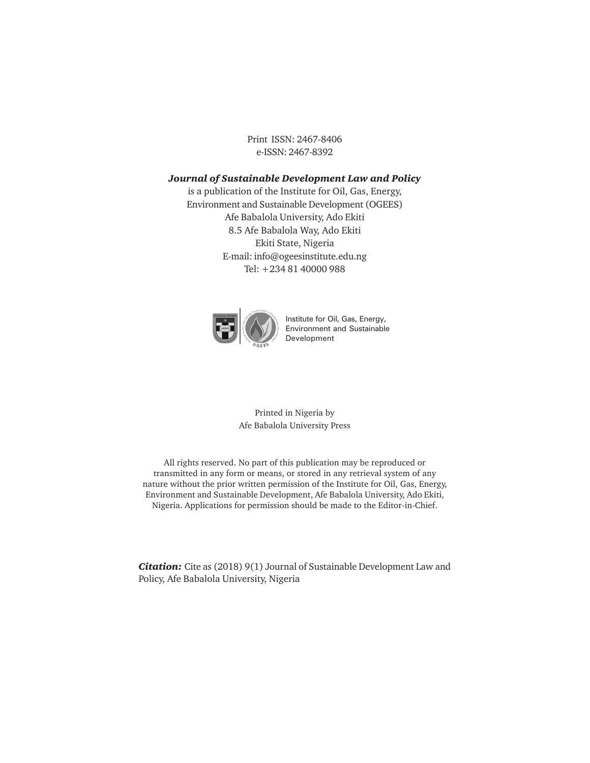Print ISSN: 2467-8406 e-ISSN: 2467-8392

#### *Journal of Sustainable Development Law and Policy*

is a publication of the Institute for Oil, Gas, Energy, Environment and Sustainable Development (OGEES) Afe Babalola University, Ado Ekiti 8.5 Afe Babalola Way, Ado Ekiti Ekiti State, Nigeria E-mail: info@ogeesinstitute.edu.ng Tel: +234 81 40000 988



Institute for Oil, Gas, Energy, Environment and Sustainable Development

Printed in Nigeria by Afe Babalola University Press

All rights reserved. No part of this publication may be reproduced or transmitted in any form or means, or stored in any retrieval system of any nature without the prior written permission of the Institute for Oil, Gas, Energy, Environment and Sustainable Development, Afe Babalola University, Ado Ekiti, Nigeria. Applications for permission should be made to the Editor-in-Chief.

*Citation:* Cite as (2018) 9(1) Journal of Sustainable Development Law and Policy, Afe Babalola University, Nigeria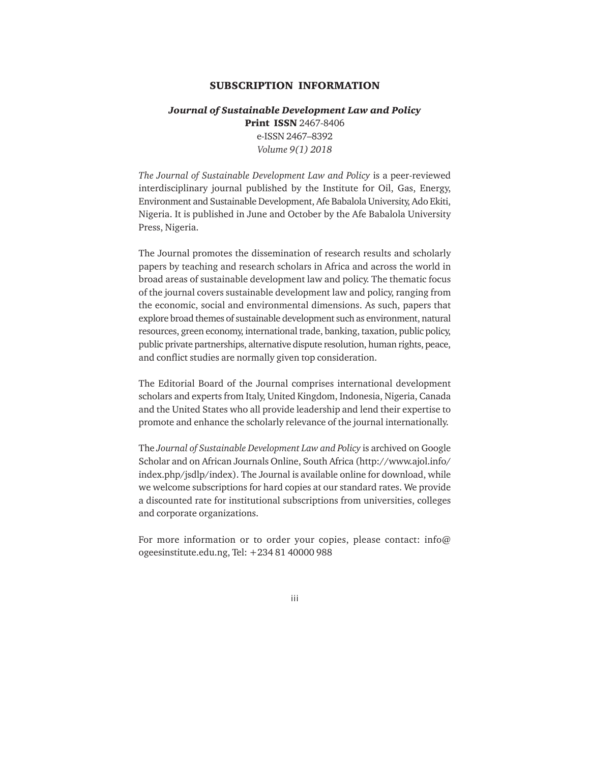#### **SUBSCRIPTION INFORMATION**

### *Journal of Sustainable Development Law and Policy* **Print ISSN** 2467-8406 e-ISSN 2467–8392 *Volume 9(1) 2018*

*The Journal of Sustainable Development Law and Policy* is a peer-reviewed interdisciplinary journal published by the Institute for Oil, Gas, Energy, Environment and Sustainable Development, Afe Babalola University, Ado Ekiti, Nigeria. It is published in June and October by the Afe Babalola University Press, Nigeria.

The Journal promotes the dissemination of research results and scholarly papers by teaching and research scholars in Africa and across the world in broad areas of sustainable development law and policy. The thematic focus of the journal covers sustainable development law and policy, ranging from the economic, social and environmental dimensions. As such, papers that explore broad themes of sustainable development such as environment, natural resources, green economy, international trade, banking, taxation, public policy, public private partnerships, alternative dispute resolution, human rights, peace, and conflict studies are normally given top consideration.

The Editorial Board of the Journal comprises international development scholars and experts from Italy, United Kingdom, Indonesia, Nigeria, Canada and the United States who all provide leadership and lend their expertise to promote and enhance the scholarly relevance of the journal internationally.

The *Journal of Sustainable Development Law and Policy* is archived on Google Scholar and on African Journals Online, South Africa (http://www.ajol.info/ index.php/jsdlp/index). The Journal is available online for download, while we welcome subscriptions for hard copies at our standard rates. We provide a discounted rate for institutional subscriptions from universities, colleges and corporate organizations.

For more information or to order your copies, please contact: info@ ogeesinstitute.edu.ng, Tel: +234 81 40000 988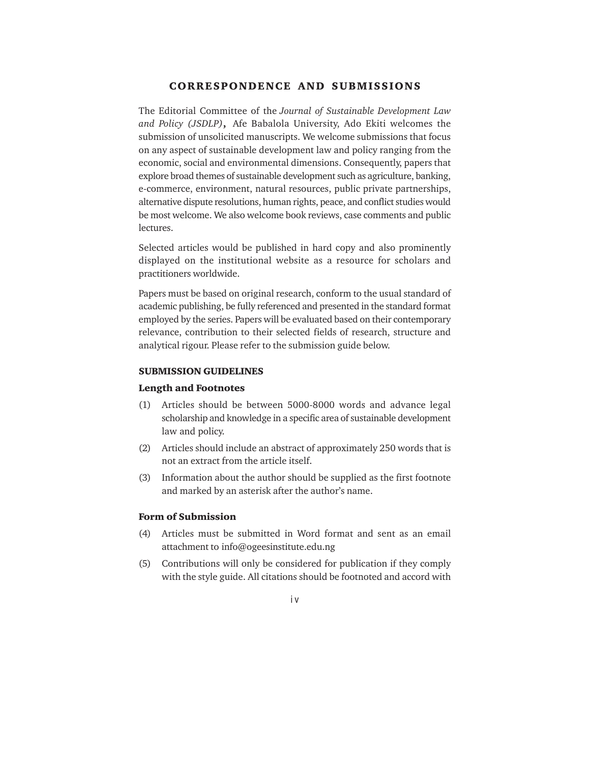#### **CORRESPONDENCE AND SUBMISSIONS**

The Editorial Committee of the *Journal of Sustainable Development Law and Policy (JSDLP)***,** Afe Babalola University, Ado Ekiti welcomes the submission of unsolicited manuscripts. We welcome submissions that focus on any aspect of sustainable development law and policy ranging from the economic, social and environmental dimensions. Consequently, papers that explore broad themes of sustainable development such as agriculture, banking, e-commerce, environment, natural resources, public private partnerships, alternative dispute resolutions, human rights, peace, and conflict studies would be most welcome. We also welcome book reviews, case comments and public lectures.

Selected articles would be published in hard copy and also prominently displayed on the institutional website as a resource for scholars and practitioners worldwide.

Papers must be based on original research, conform to the usual standard of academic publishing, be fully referenced and presented in the standard format employed by the series. Papers will be evaluated based on their contemporary relevance, contribution to their selected fields of research, structure and analytical rigour. Please refer to the submission guide below.

#### **SUBMISSION GUIDELINES**

#### **Length and Footnotes**

- (1) Articles should be between 5000-8000 words and advance legal scholarship and knowledge in a specific area of sustainable development law and policy.
- (2) Articles should include an abstract of approximately 250 words that is not an extract from the article itself.
- (3) Information about the author should be supplied as the first footnote and marked by an asterisk after the author's name.

#### **Form of Submission**

- (4) Articles must be submitted in Word format and sent as an email attachment to info@ogeesinstitute.edu.ng
- (5) Contributions will only be considered for publication if they comply with the style guide. All citations should be footnoted and accord with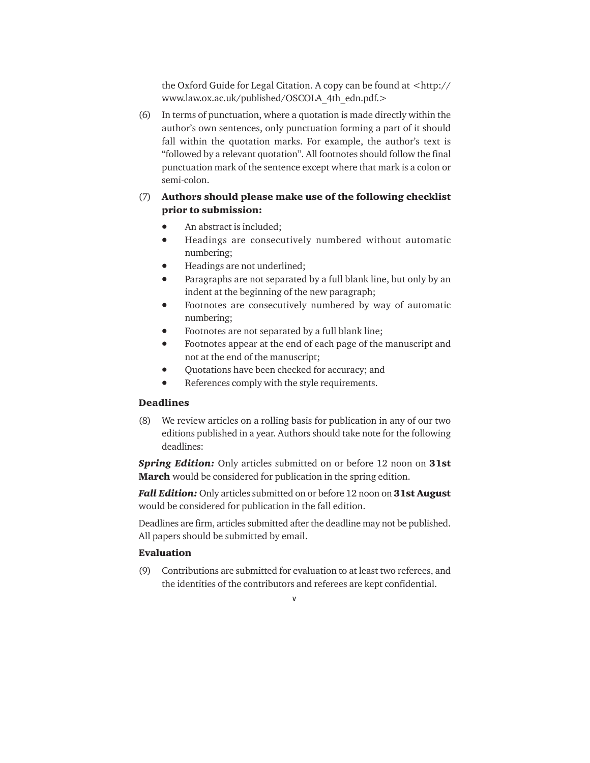the Oxford Guide for Legal Citation. A copy can be found at <http:// www.law.ox.ac.uk/published/OSCOLA\_4th\_edn.pdf.>

(6) In terms of punctuation, where a quotation is made directly within the author's own sentences, only punctuation forming a part of it should fall within the quotation marks. For example, the author's text is "followed by a relevant quotation". All footnotes should follow the final punctuation mark of the sentence except where that mark is a colon or semi-colon.

### (7) **Authors should please make use of the following checklist prior to submission:**

- An abstract is included;
- Headings are consecutively numbered without automatic numbering;
- Headings are not underlined;
- Paragraphs are not separated by a full blank line, but only by an indent at the beginning of the new paragraph;
- Footnotes are consecutively numbered by way of automatic numbering;
- Footnotes are not separated by a full blank line;
- Footnotes appear at the end of each page of the manuscript and not at the end of the manuscript;
- Quotations have been checked for accuracy; and
- References comply with the style requirements.

#### **Deadlines**

(8) We review articles on a rolling basis for publication in any of our two editions published in a year. Authors should take note for the following deadlines:

*Spring Edition:* Only articles submitted on or before 12 noon on **31st March** would be considered for publication in the spring edition.

*Fall Edition:* Only articles submitted on or before 12 noon on **31st August** would be considered for publication in the fall edition.

Deadlines are firm, articles submitted after the deadline may not be published. All papers should be submitted by email.

#### **Evaluation**

(9) Contributions are submitted for evaluation to at least two referees, and the identities of the contributors and referees are kept confidential.

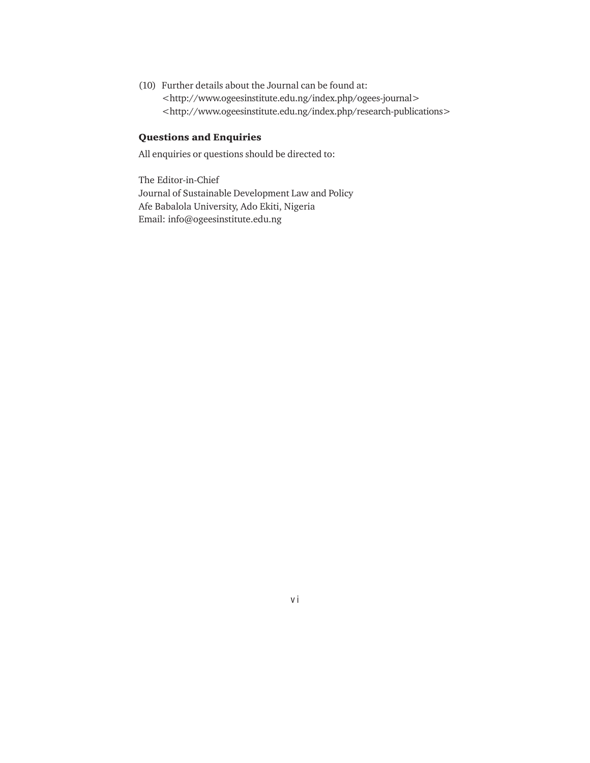(10) Further details about the Journal can be found at: <http://www.ogeesinstitute.edu.ng/index.php/ogees-journal> <http://www.ogeesinstitute.edu.ng/index.php/research-publications>

### **Questions and Enquiries**

All enquiries or questions should be directed to:

The Editor-in-Chief Journal of Sustainable Development Law and Policy Afe Babalola University, Ado Ekiti, Nigeria Email: info@ogeesinstitute.edu.ng

v i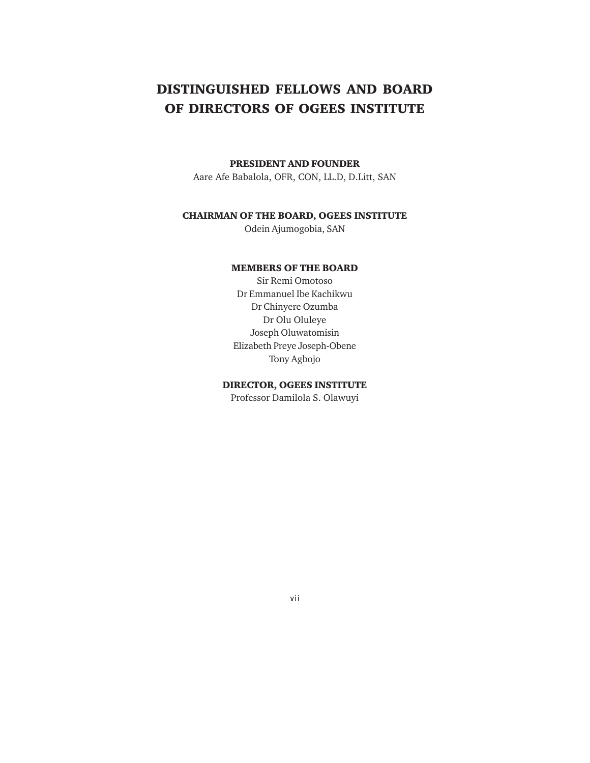# **DISTINGUISHED FELLOWS AND BOARD OF DIRECTORS OF OGEES INSTITUTE**

#### **PRESIDENT AND FOUNDER**

Aare Afe Babalola, OFR, CON, LL.D, D.Litt, SAN

#### **CHAIRMAN OF THE BOARD, OGEES INSTITUTE**

Odein Ajumogobia, SAN

#### **MEMBERS OF THE BOARD**

Sir Remi Omotoso Dr Emmanuel Ibe Kachikwu Dr Chinyere Ozumba Dr Olu Oluleye Joseph Oluwatomisin Elizabeth Preye Joseph-Obene Tony Agbojo

#### **DIRECTOR, OGEES INSTITUTE**

Professor Damilola S. Olawuyi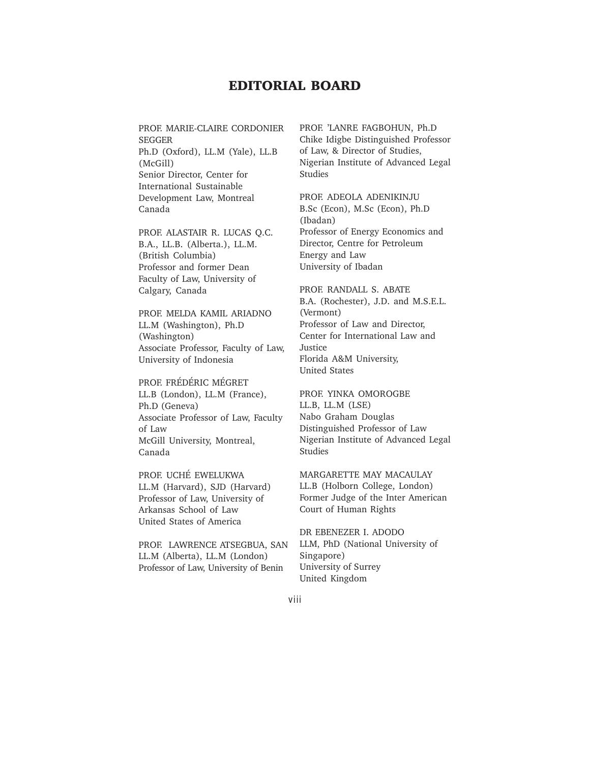# **EDITORIAL BOARD**

PROF. MARIE-CLAIRE CORDONIER SEGGER Ph.D (Oxford), LL.M (Yale), LL.B (McGill) Senior Director, Center for International Sustainable Development Law, Montreal Canada

PROF. ALASTAIR R. LUCAS Q.C. B.A., LL.B. (Alberta.), LL.M. (British Columbia) Professor and former Dean Faculty of Law, University of Calgary, Canada

PROF. MELDA KAMIL ARIADNO LL.M (Washington), Ph.D (Washington) Associate Professor, Faculty of Law, University of Indonesia

PROF. FRÉDÉRIC MÉGRET LL.B (London), LL.M (France), Ph.D (Geneva) Associate Professor of Law, Faculty of Law McGill University, Montreal, Canada

PROF. UCHÉ EWELUKWA LL.M (Harvard), SJD (Harvard) Professor of Law, University of Arkansas School of Law United States of America

PROF. LAWRENCE ATSEGBUA, SAN LL.M (Alberta), LL.M (London) Professor of Law, University of Benin

PROF. 'LANRE FAGBOHUN, Ph.D Chike Idigbe Distinguished Professor of Law, & Director of Studies, Nigerian Institute of Advanced Legal Studies

PROF. ADEOLA ADENIKINJU B.Sc (Econ), M.Sc (Econ), Ph.D (Ibadan) Professor of Energy Economics and Director, Centre for Petroleum Energy and Law University of Ibadan

PROF. RANDALL S. ABATE B.A. (Rochester), J.D. and M.S.E.L. (Vermont) Professor of Law and Director, Center for International Law and Justice Florida A&M University, United States

PROF. YINKA OMOROGBE LL.B, LL.M (LSE) Nabo Graham Douglas Distinguished Professor of Law Nigerian Institute of Advanced Legal Studies

MARGARETTE MAY MACAULAY LL.B (Holborn College, London) Former Judge of the Inter American Court of Human Rights

DR EBENEZER I. ADODO LLM, PhD (National University of Singapore) University of Surrey United Kingdom

viii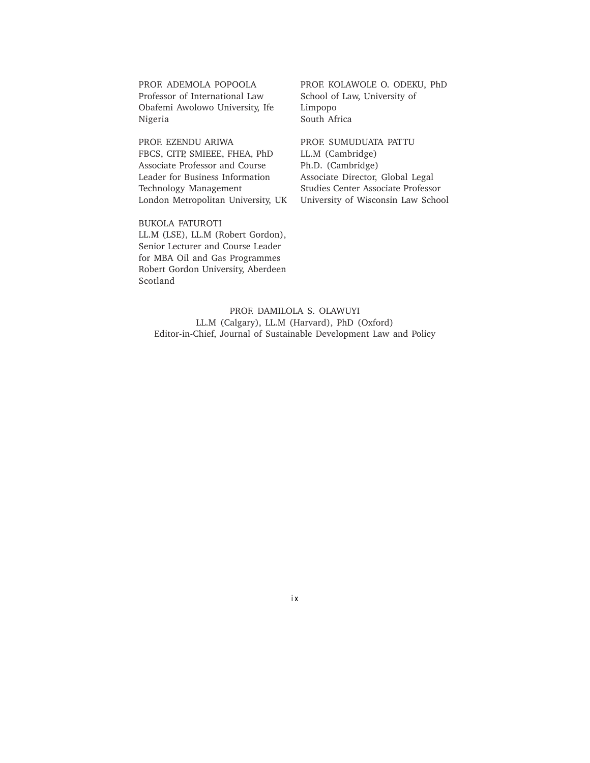PROF. ADEMOLA POPOOLA Professor of International Law Obafemi Awolowo University, Ife Nigeria

PROF. EZENDU ARIWA FBCS, CITP, SMIEEE, FHEA, PhD Associate Professor and Course Leader for Business Information Technology Management London Metropolitan University, UK

BUKOLA FATUROTI LL.M (LSE), LL.M (Robert Gordon), Senior Lecturer and Course Leader for MBA Oil and Gas Programmes Robert Gordon University, Aberdeen Scotland

PROF. KOLAWOLE O. ODEKU, PhD School of Law, University of Limpopo South Africa

PROF. SUMUDUATA PATTU LL.M (Cambridge) Ph.D. (Cambridge) Associate Director, Global Legal Studies Center Associate Professor University of Wisconsin Law School

PROF. DAMILOLA S. OLAWUYI LL.M (Calgary), LL.M (Harvard), PhD (Oxford) Editor-in-Chief, Journal of Sustainable Development Law and Policy

i x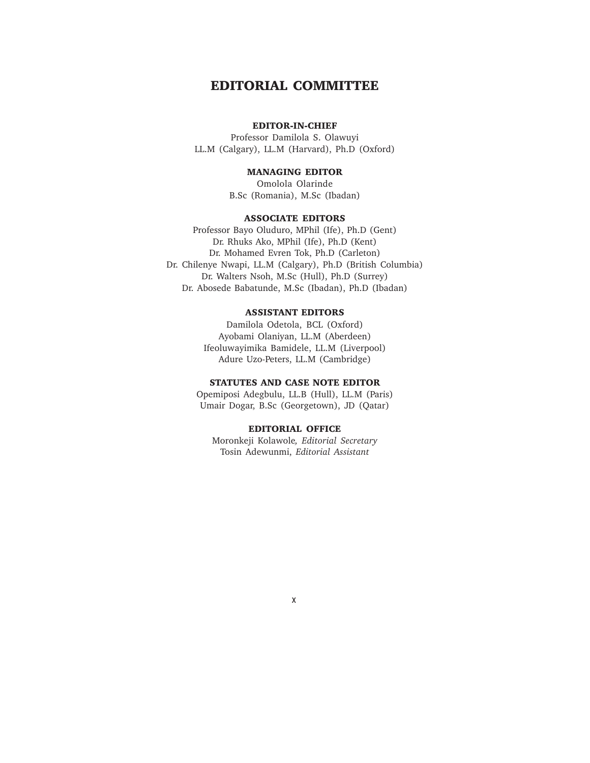# **EDITORIAL COMMITTEE**

#### **EDITOR-IN-CHIEF**

Professor Damilola S. Olawuyi LL.M (Calgary), LL.M (Harvard), Ph.D (Oxford)

#### **MANAGING EDITOR**

Omolola Olarinde B.Sc (Romania), M.Sc (Ibadan)

#### **ASSOCIATE EDITORS**

Professor Bayo Oluduro, MPhil (Ife), Ph.D (Gent) Dr. Rhuks Ako, MPhil (Ife), Ph.D (Kent) Dr. Mohamed Evren Tok, Ph.D (Carleton) Dr. Chilenye Nwapi, LL.M (Calgary), Ph.D (British Columbia) Dr. Walters Nsoh, M.Sc (Hull), Ph.D (Surrey) Dr. Abosede Babatunde, M.Sc (Ibadan), Ph.D (Ibadan)

#### **ASSISTANT EDITORS**

Damilola Odetola, BCL (Oxford) Ayobami Olaniyan, LL.M (Aberdeen) Ifeoluwayimika Bamidele, LL.M (Liverpool) Adure Uzo-Peters, LL.M (Cambridge)

#### **STATUTES AND CASE NOTE EDITOR**

Opemiposi Adegbulu, LL.B (Hull), LL.M (Paris) Umair Dogar, B.Sc (Georgetown), JD (Qatar)

#### **EDITORIAL OFFICE**

Moronkeji Kolawole*, Editorial Secretary* Tosin Adewunmi, *Editorial Assistant*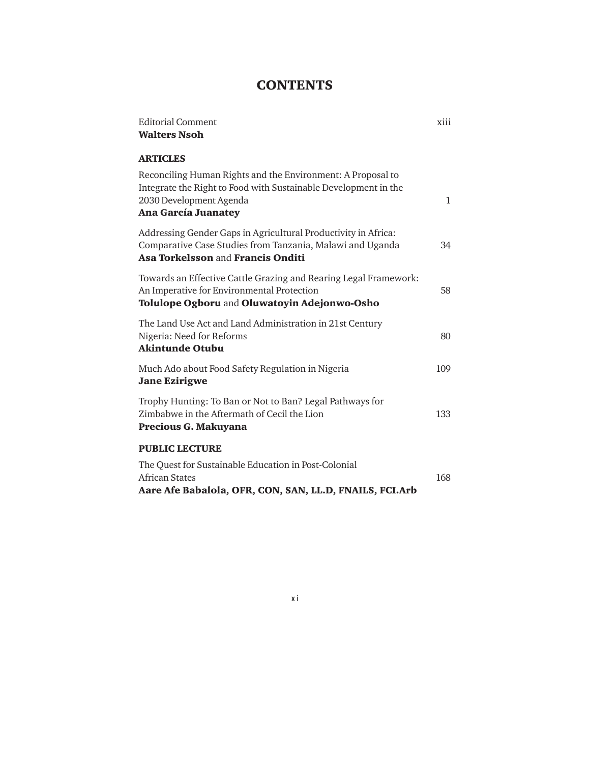# **CONTENTS**

| <b>Editorial Comment</b><br><b>Walters Nsoh</b>                                                                                                                                         | xiii         |
|-----------------------------------------------------------------------------------------------------------------------------------------------------------------------------------------|--------------|
|                                                                                                                                                                                         |              |
| <b>ARTICLES</b>                                                                                                                                                                         |              |
| Reconciling Human Rights and the Environment: A Proposal to<br>Integrate the Right to Food with Sustainable Development in the<br>2030 Development Agenda<br><b>Ana García Juanatey</b> | $\mathbf{1}$ |
| Addressing Gender Gaps in Agricultural Productivity in Africa:<br>Comparative Case Studies from Tanzania, Malawi and Uganda<br>Asa Torkelsson and Francis Onditi                        | 34           |
| Towards an Effective Cattle Grazing and Rearing Legal Framework:<br>An Imperative for Environmental Protection<br>Tolulope Ogboru and Oluwatoyin Adejonwo-Osho                          | 58           |
| The Land Use Act and Land Administration in 21st Century<br>Nigeria: Need for Reforms<br><b>Akintunde Otubu</b>                                                                         | 80           |
| Much Ado about Food Safety Regulation in Nigeria<br><b>Jane Ezirigwe</b>                                                                                                                | 109          |
| Trophy Hunting: To Ban or Not to Ban? Legal Pathways for<br>Zimbabwe in the Aftermath of Cecil the Lion<br>Precious G. Makuyana                                                         | 133          |
| <b>PUBLIC LECTURE</b>                                                                                                                                                                   |              |
| The Quest for Sustainable Education in Post-Colonial<br>African States<br>Aare Afe Babalola, OFR, CON, SAN, LL.D, FNAILS, FCI.Arb                                                       | 168          |

x i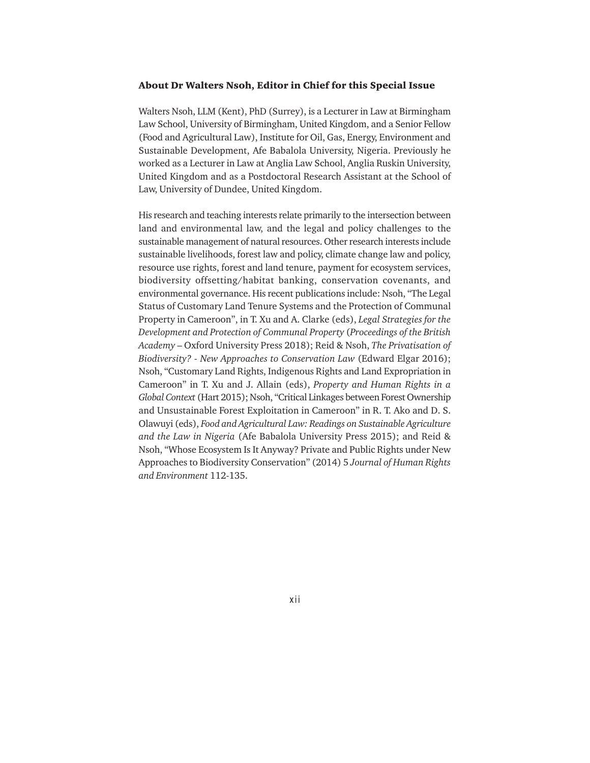#### **About Dr Walters Nsoh, Editor in Chief for this Special Issue**

Walters Nsoh, LLM (Kent), PhD (Surrey), is a Lecturer in Law at Birmingham Law School, University of Birmingham, United Kingdom, and a Senior Fellow (Food and Agricultural Law), Institute for Oil, Gas, Energy, Environment and Sustainable Development, Afe Babalola University, Nigeria. Previously he worked as a Lecturer in Law at Anglia Law School, Anglia Ruskin University, United Kingdom and as a Postdoctoral Research Assistant at the School of Law, University of Dundee, United Kingdom.

His research and teaching interests relate primarily to the intersection between land and environmental law, and the legal and policy challenges to the sustainable management of natural resources. Other research interests include sustainable livelihoods, forest law and policy, climate change law and policy, resource use rights, forest and land tenure, payment for ecosystem services, biodiversity offsetting/habitat banking, conservation covenants, and environmental governance. His recent publications include: Nsoh, "The Legal Status of Customary Land Tenure Systems and the Protection of Communal Property in Cameroon", in T. Xu and A. Clarke (eds), *Legal Strategies for the Development and Protection of Communal Property* (*Proceedings of the British Academy* – Oxford University Press 2018); Reid & Nsoh, *The Privatisation of Biodiversity? - New Approaches to Conservation Law* (Edward Elgar 2016); Nsoh, "Customary Land Rights, Indigenous Rights and Land Expropriation in Cameroon" in T. Xu and J. Allain (eds), *Property and Human Rights in a Global Context* (Hart 2015); Nsoh, "Critical Linkages between Forest Ownership and Unsustainable Forest Exploitation in Cameroon" in R. T. Ako and D. S. Olawuyi (eds), *Food and Agricultural Law: Readings on Sustainable Agriculture and the Law in Nigeria* (Afe Babalola University Press 2015); and Reid & Nsoh, "Whose Ecosystem Is It Anyway? Private and Public Rights under New Approaches to Biodiversity Conservation" (2014) 5 *Journal of Human Rights and Environment* 112-135.

xii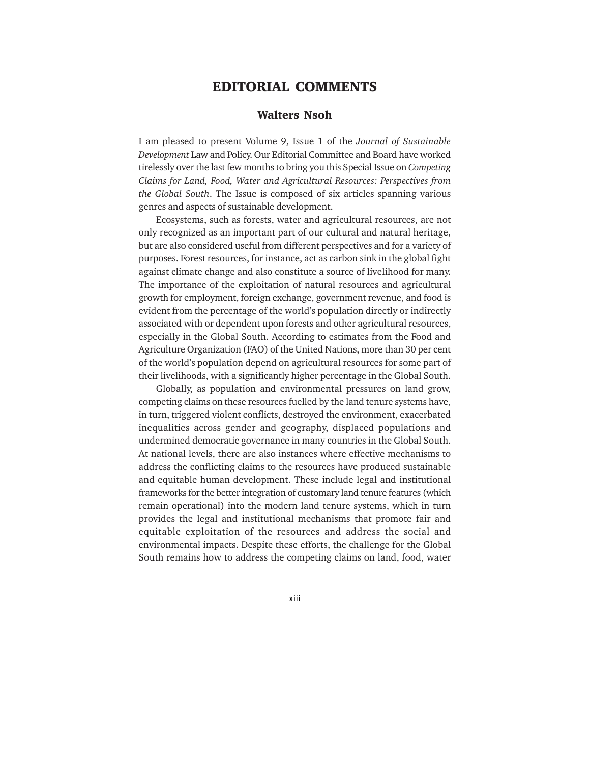## **EDITORIAL COMMENTS**

#### **Walters Nsoh**

I am pleased to present Volume 9, Issue 1 of the *Journal of Sustainable Development* Law and Policy. Our Editorial Committee and Board have worked tirelessly over the last few months to bring you this Special Issue on *Competing Claims for Land, Food, Water and Agricultural Resources: Perspectives from the Global South*. The Issue is composed of six articles spanning various genres and aspects of sustainable development.

Ecosystems, such as forests, water and agricultural resources, are not only recognized as an important part of our cultural and natural heritage, but are also considered useful from different perspectives and for a variety of purposes. Forest resources, for instance, act as carbon sink in the global fight against climate change and also constitute a source of livelihood for many. The importance of the exploitation of natural resources and agricultural growth for employment, foreign exchange, government revenue, and food is evident from the percentage of the world's population directly or indirectly associated with or dependent upon forests and other agricultural resources, especially in the Global South. According to estimates from the Food and Agriculture Organization (FAO) of the United Nations, more than 30 per cent of the world's population depend on agricultural resources for some part of their livelihoods, with a significantly higher percentage in the Global South.

Globally, as population and environmental pressures on land grow, competing claims on these resources fuelled by the land tenure systems have, in turn, triggered violent conflicts, destroyed the environment, exacerbated inequalities across gender and geography, displaced populations and undermined democratic governance in many countries in the Global South. At national levels, there are also instances where effective mechanisms to address the conflicting claims to the resources have produced sustainable and equitable human development. These include legal and institutional frameworks for the better integration of customary land tenure features (which remain operational) into the modern land tenure systems, which in turn provides the legal and institutional mechanisms that promote fair and equitable exploitation of the resources and address the social and environmental impacts. Despite these efforts, the challenge for the Global South remains how to address the competing claims on land, food, water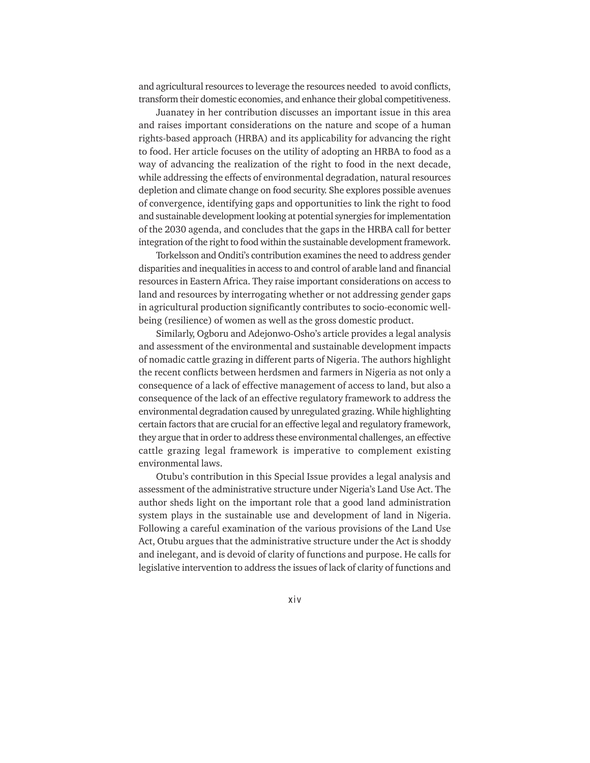and agricultural resources to leverage the resources needed to avoid conflicts, transform their domestic economies, and enhance their global competitiveness.

Juanatey in her contribution discusses an important issue in this area and raises important considerations on the nature and scope of a human rights-based approach (HRBA) and its applicability for advancing the right to food. Her article focuses on the utility of adopting an HRBA to food as a way of advancing the realization of the right to food in the next decade, while addressing the effects of environmental degradation, natural resources depletion and climate change on food security. She explores possible avenues of convergence, identifying gaps and opportunities to link the right to food and sustainable development looking at potential synergies for implementation of the 2030 agenda, and concludes that the gaps in the HRBA call for better integration of the right to food within the sustainable development framework.

Torkelsson and Onditi's contribution examines the need to address gender disparities and inequalities in access to and control of arable land and financial resources in Eastern Africa. They raise important considerations on access to land and resources by interrogating whether or not addressing gender gaps in agricultural production significantly contributes to socio-economic wellbeing (resilience) of women as well as the gross domestic product.

Similarly, Ogboru and Adejonwo-Osho's article provides a legal analysis and assessment of the environmental and sustainable development impacts of nomadic cattle grazing in different parts of Nigeria. The authors highlight the recent conflicts between herdsmen and farmers in Nigeria as not only a consequence of a lack of effective management of access to land, but also a consequence of the lack of an effective regulatory framework to address the environmental degradation caused by unregulated grazing. While highlighting certain factors that are crucial for an effective legal and regulatory framework, they argue that in order to address these environmental challenges, an effective cattle grazing legal framework is imperative to complement existing environmental laws.

Otubu's contribution in this Special Issue provides a legal analysis and assessment of the administrative structure under Nigeria's Land Use Act. The author sheds light on the important role that a good land administration system plays in the sustainable use and development of land in Nigeria. Following a careful examination of the various provisions of the Land Use Act, Otubu argues that the administrative structure under the Act is shoddy and inelegant, and is devoid of clarity of functions and purpose. He calls for legislative intervention to address the issues of lack of clarity of functions and

xiv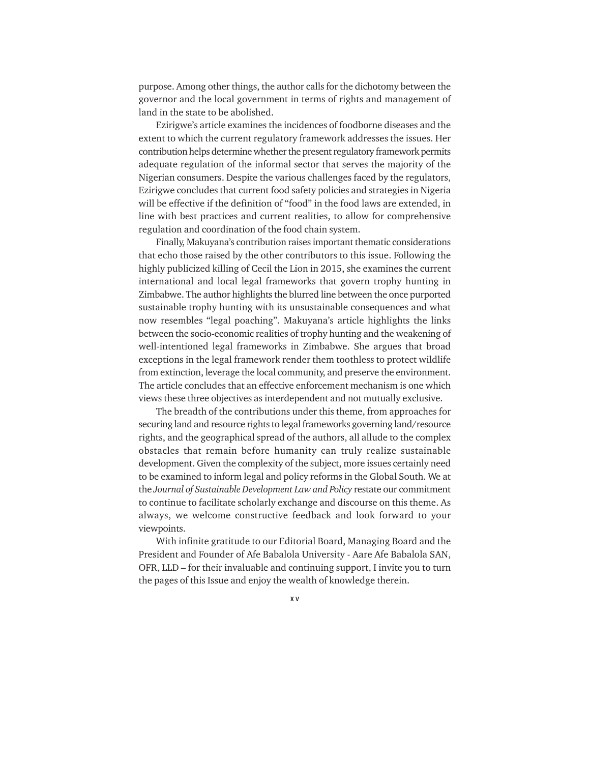purpose. Among other things, the author calls for the dichotomy between the governor and the local government in terms of rights and management of land in the state to be abolished.

Ezirigwe's article examines the incidences of foodborne diseases and the extent to which the current regulatory framework addresses the issues. Her contribution helps determine whether the present regulatory framework permits adequate regulation of the informal sector that serves the majority of the Nigerian consumers. Despite the various challenges faced by the regulators, Ezirigwe concludes that current food safety policies and strategies in Nigeria will be effective if the definition of "food" in the food laws are extended, in line with best practices and current realities, to allow for comprehensive regulation and coordination of the food chain system.

Finally, Makuyana's contribution raises important thematic considerations that echo those raised by the other contributors to this issue. Following the highly publicized killing of Cecil the Lion in 2015, she examines the current international and local legal frameworks that govern trophy hunting in Zimbabwe. The author highlights the blurred line between the once purported sustainable trophy hunting with its unsustainable consequences and what now resembles "legal poaching". Makuyana's article highlights the links between the socio-economic realities of trophy hunting and the weakening of well-intentioned legal frameworks in Zimbabwe. She argues that broad exceptions in the legal framework render them toothless to protect wildlife from extinction, leverage the local community, and preserve the environment. The article concludes that an effective enforcement mechanism is one which views these three objectives as interdependent and not mutually exclusive.

The breadth of the contributions under this theme, from approaches for securing land and resource rights to legal frameworks governing land/resource rights, and the geographical spread of the authors, all allude to the complex obstacles that remain before humanity can truly realize sustainable development. Given the complexity of the subject, more issues certainly need to be examined to inform legal and policy reforms in the Global South. We at the *Journal of Sustainable Development Law and Policy* restate our commitment to continue to facilitate scholarly exchange and discourse on this theme. As always, we welcome constructive feedback and look forward to your viewpoints.

With infinite gratitude to our Editorial Board, Managing Board and the President and Founder of Afe Babalola University - Aare Afe Babalola SAN, OFR, LLD – for their invaluable and continuing support, I invite you to turn the pages of this Issue and enjoy the wealth of knowledge therein.

x v